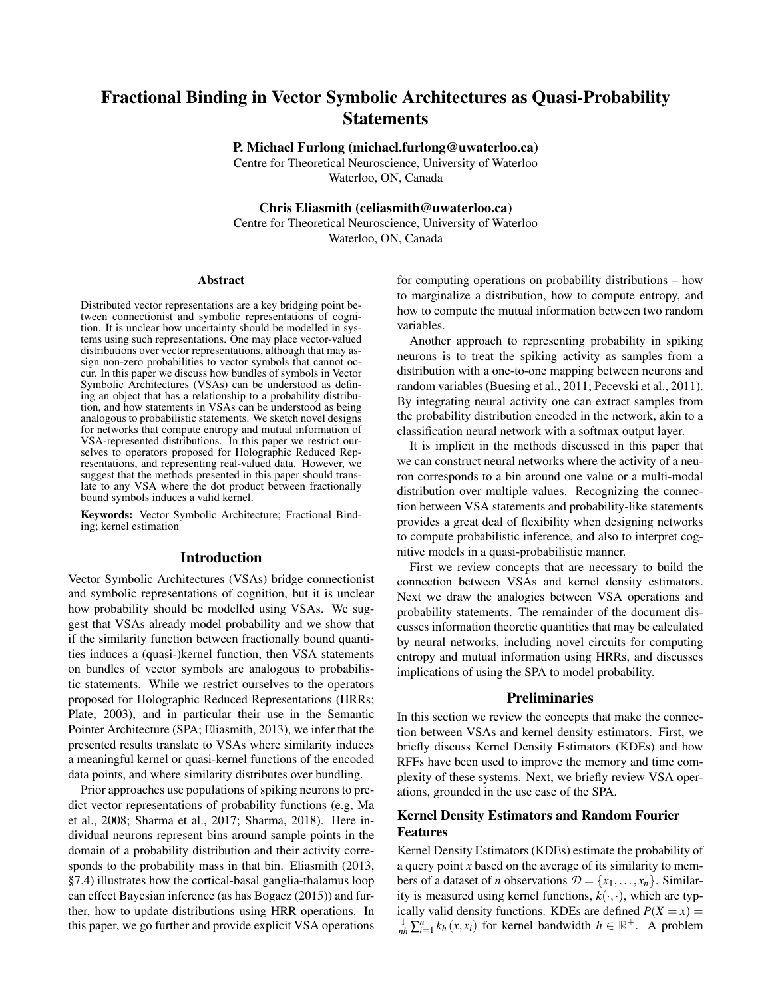# Fractional Binding in Vector Symbolic Architectures as Quasi-Probability Statements

P. Michael Furlong (michael.furlong@uwaterloo.ca)

Centre for Theoretical Neuroscience, University of Waterloo Waterloo, ON, Canada

Chris Eliasmith (celiasmith@uwaterloo.ca)

Centre for Theoretical Neuroscience, University of Waterloo Waterloo, ON, Canada

#### Abstract

Distributed vector representations are a key bridging point between connectionist and symbolic representations of cognition. It is unclear how uncertainty should be modelled in systems using such representations. One may place vector-valued distributions over vector representations, although that may assign non-zero probabilities to vector symbols that cannot occur. In this paper we discuss how bundles of symbols in Vector Symbolic Architectures (VSAs) can be understood as defining an object that has a relationship to a probability distribution, and how statements in VSAs can be understood as being analogous to probabilistic statements. We sketch novel designs for networks that compute entropy and mutual information of VSA-represented distributions. In this paper we restrict ourselves to operators proposed for Holographic Reduced Representations, and representing real-valued data. However, we suggest that the methods presented in this paper should translate to any VSA where the dot product between fractionally bound symbols induces a valid kernel.

Keywords: Vector Symbolic Architecture; Fractional Binding; kernel estimation

## Introduction

Vector Symbolic Architectures (VSAs) bridge connectionist and symbolic representations of cognition, but it is unclear how probability should be modelled using VSAs. We suggest that VSAs already model probability and we show that if the similarity function between fractionally bound quantities induces a (quasi-)kernel function, then VSA statements on bundles of vector symbols are analogous to probabilistic statements. While we restrict ourselves to the operators proposed for Holographic Reduced Representations (HRRs; Plate, 2003), and in particular their use in the Semantic Pointer Architecture (SPA; Eliasmith, 2013), we infer that the presented results translate to VSAs where similarity induces a meaningful kernel or quasi-kernel functions of the encoded data points, and where similarity distributes over bundling.

Prior approaches use populations of spiking neurons to predict vector representations of probability functions (e.g, Ma et al., 2008; Sharma et al., 2017; Sharma, 2018). Here individual neurons represent bins around sample points in the domain of a probability distribution and their activity corresponds to the probability mass in that bin. Eliasmith (2013, §7.4) illustrates how the cortical-basal ganglia-thalamus loop can effect Bayesian inference (as has Bogacz (2015)) and further, how to update distributions using HRR operations. In this paper, we go further and provide explicit VSA operations for computing operations on probability distributions – how to marginalize a distribution, how to compute entropy, and how to compute the mutual information between two random variables.

Another approach to representing probability in spiking neurons is to treat the spiking activity as samples from a distribution with a one-to-one mapping between neurons and random variables (Buesing et al., 2011; Pecevski et al., 2011). By integrating neural activity one can extract samples from the probability distribution encoded in the network, akin to a classification neural network with a softmax output layer.

It is implicit in the methods discussed in this paper that we can construct neural networks where the activity of a neuron corresponds to a bin around one value or a multi-modal distribution over multiple values. Recognizing the connection between VSA statements and probability-like statements provides a great deal of flexibility when designing networks to compute probabilistic inference, and also to interpret cognitive models in a quasi-probabilistic manner.

First we review concepts that are necessary to build the connection between VSAs and kernel density estimators. Next we draw the analogies between VSA operations and probability statements. The remainder of the document discusses information theoretic quantities that may be calculated by neural networks, including novel circuits for computing entropy and mutual information using HRRs, and discusses implications of using the SPA to model probability.

## Preliminaries

In this section we review the concepts that make the connection between VSAs and kernel density estimators. First, we briefly discuss Kernel Density Estimators (KDEs) and how RFFs have been used to improve the memory and time complexity of these systems. Next, we briefly review VSA operations, grounded in the use case of the SPA.

## Kernel Density Estimators and Random Fourier Features

Kernel Density Estimators (KDEs) estimate the probability of a query point *x* based on the average of its similarity to members of a dataset of *n* observations  $\mathcal{D} = \{x_1, \ldots, x_n\}$ . Similarity is measured using kernel functions,  $k(\cdot, \cdot)$ , which are typically valid density functions. KDEs are defined  $P(X = x) =$  $\frac{1}{nh} \sum_{i=1}^{n} k_h(x, x_i)$  for kernel bandwidth  $h \in \mathbb{R}^+$ . A problem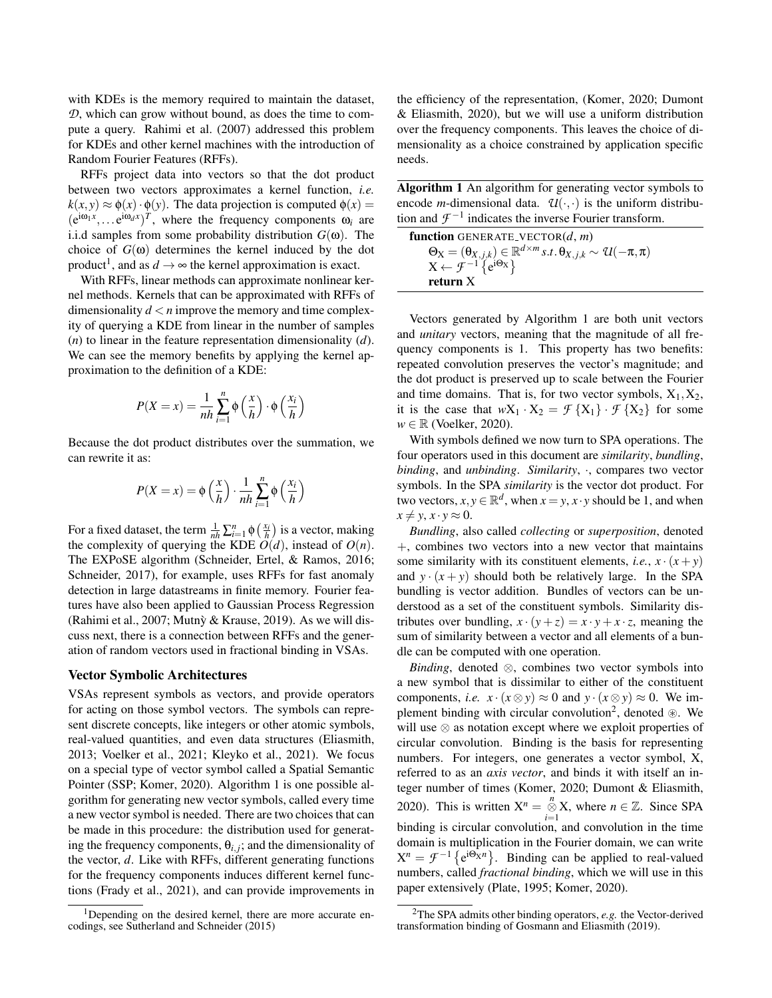with KDEs is the memory required to maintain the dataset, *D*, which can grow without bound, as does the time to compute a query. Rahimi et al. (2007) addressed this problem for KDEs and other kernel machines with the introduction of Random Fourier Features (RFFs).

RFFs project data into vectors so that the dot product between two vectors approximates a kernel function, *i.e.*  $k(x, y) \approx \phi(x) \cdot \phi(y)$ . The data projection is computed  $\phi(x) =$  $(e^{i\omega_1 x}, \dots e^{i\omega_d x})^T$ , where the frequency components  $\omega_i$  are i.i.d samples from some probability distribution  $G(\omega)$ . The choice of  $G(\omega)$  determines the kernel induced by the dot product<sup>1</sup>, and as  $d \rightarrow \infty$  the kernel approximation is exact.

With RFFs, linear methods can approximate nonlinear kernel methods. Kernels that can be approximated with RFFs of dimensionality  $d < n$  improve the memory and time complexity of querying a KDE from linear in the number of samples (*n*) to linear in the feature representation dimensionality (*d*). We can see the memory benefits by applying the kernel approximation to the definition of a KDE:

$$
P(X = x) = \frac{1}{nh} \sum_{i=1}^{n} \phi\left(\frac{x}{h}\right) \cdot \phi\left(\frac{x_i}{h}\right)
$$

Because the dot product distributes over the summation, we can rewrite it as:

$$
P(X = x) = \phi\left(\frac{x}{h}\right) \cdot \frac{1}{nh} \sum_{i=1}^{n} \phi\left(\frac{x_i}{h}\right)
$$

For a fixed dataset, the term  $\frac{1}{nh} \sum_{i=1}^{n} \phi\left(\frac{x_i}{h}\right)$  is a vector, making the complexity of querying the KDE  $O(d)$ , instead of  $O(n)$ . The EXPoSE algorithm (Schneider, Ertel, & Ramos, 2016; Schneider, 2017), for example, uses RFFs for fast anomaly detection in large datastreams in finite memory. Fourier features have also been applied to Gaussian Process Regression (Rahimi et al., 2007; Mutny & Krause, 2019). As we will discuss next, there is a connection between RFFs and the generation of random vectors used in fractional binding in VSAs.

### Vector Symbolic Architectures

VSAs represent symbols as vectors, and provide operators for acting on those symbol vectors. The symbols can represent discrete concepts, like integers or other atomic symbols, real-valued quantities, and even data structures (Eliasmith, 2013; Voelker et al., 2021; Kleyko et al., 2021). We focus on a special type of vector symbol called a Spatial Semantic Pointer (SSP; Komer, 2020). Algorithm 1 is one possible algorithm for generating new vector symbols, called every time a new vector symbol is needed. There are two choices that can be made in this procedure: the distribution used for generating the frequency components,  $\theta_{i,j}$ ; and the dimensionality of the vector, *d*. Like with RFFs, different generating functions for the frequency components induces different kernel functions (Frady et al., 2021), and can provide improvements in the efficiency of the representation, (Komer, 2020; Dumont & Eliasmith, 2020), but we will use a uniform distribution over the frequency components. This leaves the choice of dimensionality as a choice constrained by application specific needs.

Algorithm 1 An algorithm for generating vector symbols to encode *m*-dimensional data.  $\mathcal{U}(\cdot,\cdot)$  is the uniform distribution and  $\mathcal{F}^{-1}$  indicates the inverse Fourier transform.

function GENERATE VECTOR(*d*, *m*)  $\Theta_{\mathbf{X}} = (\Theta_{X,j,k}) \in \mathbb{R}^{d \times m} s.t. \Theta_{X,j,k} \sim \mathcal{U}(-\pi,\pi)$  $X \leftarrow \mathcal{F}^{-1}$  {e<sup>iΘx</sup>} return X

Vectors generated by Algorithm 1 are both unit vectors and *unitary* vectors, meaning that the magnitude of all frequency components is 1. This property has two benefits: repeated convolution preserves the vector's magnitude; and the dot product is preserved up to scale between the Fourier and time domains. That is, for two vector symbols,  $X_1, X_2$ , it is the case that  $wX_1 \cdot X_2 = \mathcal{F}\{X_1\} \cdot \mathcal{F}\{X_2\}$  for some  $w \in \mathbb{R}$  (Voelker, 2020).

With symbols defined we now turn to SPA operations. The four operators used in this document are *similarity*, *bundling*, *binding*, and *unbinding*. *Similarity*, ·, compares two vector symbols. In the SPA *similarity* is the vector dot product. For two vectors,  $x, y \in \mathbb{R}^d$ , when  $x = y$ ,  $x \cdot y$  should be 1, and when  $x \neq y$ ,  $x \cdot y \approx 0$ .

*Bundling*, also called *collecting* or *superposition*, denoted +, combines two vectors into a new vector that maintains some similarity with its constituent elements, *i.e.*,  $x \cdot (x + y)$ and  $y \cdot (x + y)$  should both be relatively large. In the SPA bundling is vector addition. Bundles of vectors can be understood as a set of the constituent symbols. Similarity distributes over bundling,  $x \cdot (y + z) = x \cdot y + x \cdot z$ , meaning the sum of similarity between a vector and all elements of a bundle can be computed with one operation.

*Binding*, denoted ⊗, combines two vector symbols into a new symbol that is dissimilar to either of the constituent components, *i.e.*  $x \cdot (x \otimes y) \approx 0$  and  $y \cdot (x \otimes y) \approx 0$ . We implement binding with circular convolution<sup>2</sup>, denoted ⊛. We will use ⊗ as notation except where we exploit properties of circular convolution. Binding is the basis for representing numbers. For integers, one generates a vector symbol, X, referred to as an *axis vector*, and binds it with itself an integer number of times (Komer, 2020; Dumont & Eliasmith, 2020). This is written  $X^n = \bigotimes_{i=1}^n X$ , where  $n \in \mathbb{Z}$ . Since SPA binding is circular convolution, and convolution in the time domain is multiplication in the Fourier domain, we can write  $X^n = \mathcal{F}^{-1} \{ e^{i\Theta_X n} \}.$  Binding can be applied to real-valued numbers, called *fractional binding*, which we will use in this paper extensively (Plate, 1995; Komer, 2020).

<sup>&</sup>lt;sup>1</sup>Depending on the desired kernel, there are more accurate encodings, see Sutherland and Schneider (2015)

<sup>2</sup>The SPA admits other binding operators, *e.g.* the Vector-derived transformation binding of Gosmann and Eliasmith (2019).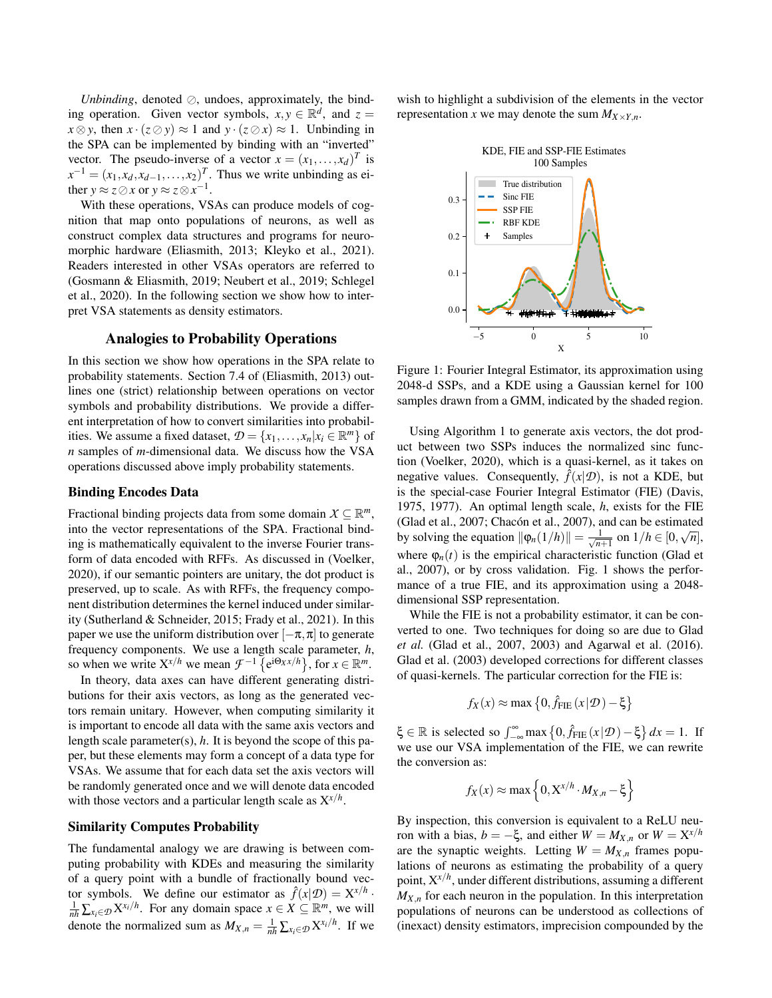*Unbinding*, denoted ⊘, undoes, approximately, the binding operation. Given vector symbols,  $x, y \in \mathbb{R}^d$ , and  $z =$  $x \otimes y$ , then  $x \cdot (z \otimes y) \approx 1$  and  $y \cdot (z \otimes x) \approx 1$ . Unbinding in the SPA can be implemented by binding with an "inverted" vector. The pseudo-inverse of a vector  $x = (x_1, \ldots, x_d)^T$  is  $x^{-1} = (x_1, x_d, x_{d-1}, \ldots, x_2)^T$ . Thus we write unbinding as either  $y \approx z \oslash x$  or  $y \approx z \otimes x^{-1}$ .

With these operations, VSAs can produce models of cognition that map onto populations of neurons, as well as construct complex data structures and programs for neuromorphic hardware (Eliasmith, 2013; Kleyko et al., 2021). Readers interested in other VSAs operators are referred to (Gosmann & Eliasmith, 2019; Neubert et al., 2019; Schlegel et al., 2020). In the following section we show how to interpret VSA statements as density estimators.

## Analogies to Probability Operations

In this section we show how operations in the SPA relate to probability statements. Section 7.4 of (Eliasmith, 2013) outlines one (strict) relationship between operations on vector symbols and probability distributions. We provide a different interpretation of how to convert similarities into probabilities. We assume a fixed dataset,  $\mathcal{D} = \{x_1, \ldots, x_n | x_i \in \mathbb{R}^m\}$  of *n* samples of *m*-dimensional data. We discuss how the VSA operations discussed above imply probability statements.

#### Binding Encodes Data

Fractional binding projects data from some domain  $X \subseteq \mathbb{R}^m$ , into the vector representations of the SPA. Fractional binding is mathematically equivalent to the inverse Fourier transform of data encoded with RFFs. As discussed in (Voelker, 2020), if our semantic pointers are unitary, the dot product is preserved, up to scale. As with RFFs, the frequency component distribution determines the kernel induced under similarity (Sutherland & Schneider, 2015; Frady et al., 2021). In this paper we use the uniform distribution over  $[-\pi,\pi]$  to generate frequency components. We use a length scale parameter, *h*, so when we write  $X^{x/h}$  we mean  $\mathcal{F}^{-1}$   $\{e^{i\Theta_X x/h}\},$  for  $x \in \mathbb{R}^m$ .

In theory, data axes can have different generating distributions for their axis vectors, as long as the generated vectors remain unitary. However, when computing similarity it is important to encode all data with the same axis vectors and length scale parameter(s), *h*. It is beyond the scope of this paper, but these elements may form a concept of a data type for VSAs. We assume that for each data set the axis vectors will be randomly generated once and we will denote data encoded with those vectors and a particular length scale as X*x*/*<sup>h</sup>* .

#### Similarity Computes Probability

The fundamental analogy we are drawing is between computing probability with KDEs and measuring the similarity of a query point with a bundle of fractionally bound vector symbols. We define our estimator as  $\hat{f}(x|\mathcal{D}) = \mathbf{X}^{x/h}$ .  $\frac{1}{nh} \sum_{x_i \in \mathcal{D}} X^{x_i/h}$ . For any domain space  $x \in X \subseteq \mathbb{R}^m$ , we will denote the normalized sum as  $M_{X,n} = \frac{1}{nh} \sum_{x_i \in \mathcal{D}} X^{x_i/h}$ . If we wish to highlight a subdivision of the elements in the vector representation *x* we may denote the sum  $M_{X \times Y,n}$ .



Figure 1: Fourier Integral Estimator, its approximation using 2048-d SSPs, and a KDE using a Gaussian kernel for 100 samples drawn from a GMM, indicated by the shaded region.

Using Algorithm 1 to generate axis vectors, the dot product between two SSPs induces the normalized sinc function (Voelker, 2020), which is a quasi-kernel, as it takes on negative values. Consequently,  $\hat{f}(x|\mathcal{D})$ , is not a KDE, but is the special-case Fourier Integral Estimator (FIE) (Davis, 1975, 1977). An optimal length scale, *h*, exists for the FIE (Glad et al., 2007; Chacón et al., 2007), and can be estimated  $\frac{1}{2}$ by solving the equation  $\|\varphi_n(1/h)\| = \frac{1}{\sqrt{n}}$  $\frac{1}{n+1}$  on  $1/h \in [0, \sqrt{n}],$ where  $\varphi_n(t)$  is the empirical characteristic function (Glad et al., 2007), or by cross validation. Fig. 1 shows the performance of a true FIE, and its approximation using a 2048 dimensional SSP representation.

While the FIE is not a probability estimator, it can be converted to one. Two techniques for doing so are due to Glad *et al.* (Glad et al., 2007, 2003) and Agarwal et al. (2016). Glad et al. (2003) developed corrections for different classes of quasi-kernels. The particular correction for the FIE is:

$$
f_X(x) \approx \max\left\{0, \hat{f}_{\text{FIE}}(x|\mathcal{D}) - \xi\right\}
$$

 $\xi \in \mathbb{R}$  is selected so  $\int_{-\infty}^{\infty} \max\left\{0, \hat{f}_{\text{FIE}}(x|\mathcal{D}) - \xi\right\} dx = 1$ . If we use our VSA implementation of the FIE, we can rewrite the conversion as:

$$
f_X(x) \approx \max\left\{0, X^{x/h} \cdot M_{X,n} - \xi\right\}
$$

By inspection, this conversion is equivalent to a ReLU neuron with a bias,  $b = -\xi$ , and either  $W = M_{X,n}$  or  $W = X^{x/h}$ are the synaptic weights. Letting  $W = M_{X,n}$  frames populations of neurons as estimating the probability of a query point, X*x*/*<sup>h</sup>* , under different distributions, assuming a different  $M_{X,n}$  for each neuron in the population. In this interpretation populations of neurons can be understood as collections of (inexact) density estimators, imprecision compounded by the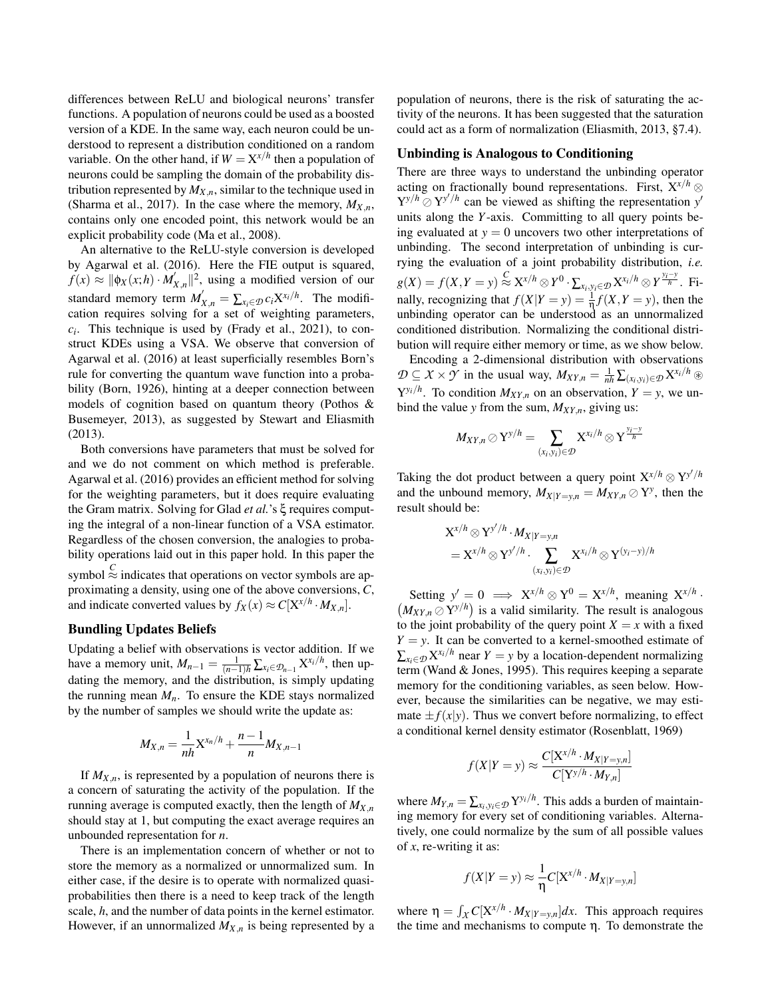differences between ReLU and biological neurons' transfer functions. A population of neurons could be used as a boosted version of a KDE. In the same way, each neuron could be understood to represent a distribution conditioned on a random variable. On the other hand, if  $W = X^{x/h}$  then a population of neurons could be sampling the domain of the probability distribution represented by  $M_{X,n}$ , similar to the technique used in (Sharma et al., 2017). In the case where the memory,  $M_{X,n}$ , contains only one encoded point, this network would be an explicit probability code (Ma et al., 2008).

An alternative to the ReLU-style conversion is developed by Agarwal et al. (2016). Here the FIE output is squared,  $f(x) \approx ||\phi_X(x;h) \cdot M'_X$  $\int_{X,n}^{\infty}$  | 2, using a modified version of our standard memory term  $M'_{X,n} = \sum_{x_i \in \mathcal{D}} c_i X^{x_i/h}$ . The modification requires solving for a set of weighting parameters,  $c_i$ . This technique is used by (Frady et al., 2021), to construct KDEs using a VSA. We observe that conversion of Agarwal et al. (2016) at least superficially resembles Born's rule for converting the quantum wave function into a probability (Born, 1926), hinting at a deeper connection between models of cognition based on quantum theory (Pothos & Busemeyer, 2013), as suggested by Stewart and Eliasmith (2013).

Both conversions have parameters that must be solved for and we do not comment on which method is preferable. Agarwal et al. (2016) provides an efficient method for solving for the weighting parameters, but it does require evaluating the Gram matrix. Solving for Glad *et al.*'s ξ requires computing the integral of a non-linear function of a VSA estimator. Regardless of the chosen conversion, the analogies to probability operations laid out in this paper hold. In this paper the symbol  $\stackrel{C}{\approx}$  indicates that operations on vector symbols are approximating a density, using one of the above conversions, *C*, and indicate converted values by  $f_X(x) \approx C[X^{x/h} \cdot M_{X,n}].$ 

## Bundling Updates Beliefs

Updating a belief with observations is vector addition. If we have a memory unit,  $M_{n-1} = \frac{1}{(n-1)h} \sum_{x_i \in \mathcal{D}_{n-1}} X^{x_i/h}$ , then updating the memory, and the distribution, is simply updating the running mean  $M_n$ . To ensure the KDE stays normalized by the number of samples we should write the update as:

$$
M_{X,n} = \frac{1}{nh} X^{x_n/h} + \frac{n-1}{n} M_{X,n-1}
$$

If  $M_{X,n}$ , is represented by a population of neurons there is a concern of saturating the activity of the population. If the running average is computed exactly, then the length of  $M_{X,n}$ should stay at 1, but computing the exact average requires an unbounded representation for *n*.

There is an implementation concern of whether or not to store the memory as a normalized or unnormalized sum. In either case, if the desire is to operate with normalized quasiprobabilities then there is a need to keep track of the length scale, *h*, and the number of data points in the kernel estimator. However, if an unnormalized  $M_{X,n}$  is being represented by a population of neurons, there is the risk of saturating the activity of the neurons. It has been suggested that the saturation could act as a form of normalization (Eliasmith, 2013, §7.4).

### Unbinding is Analogous to Conditioning

There are three ways to understand the unbinding operator acting on fractionally bound representations. First,  $X^{x/h}$  ⊗  $Y^{y/h} \odot Y^{y'/h}$  can be viewed as shifting the representation *y'* units along the *Y*-axis. Committing to all query points being evaluated at  $y = 0$  uncovers two other interpretations of unbinding. The second interpretation of unbinding is currying the evaluation of a joint probability distribution, *i.e.*  $g(X) = f(X, Y = y) \stackrel{C}{\approx} X^{x/h} \otimes Y^0 \cdot \sum_{x_i, y_i \in \mathcal{D}} X^{x_i/h} \otimes Y^{\frac{y_i - y}{h}}.$  Finally, recognizing that  $f(X|Y = y) = \frac{1}{\eta}f(X, Y = y)$ , then the unbinding operator can be understood as an unnormalized conditioned distribution. Normalizing the conditional distribution will require either memory or time, as we show below.

Encoding a 2-dimensional distribution with observations *D* ⊆ *X* × *Y* in the usual way,  $M_{XY,n} = \frac{1}{nh} \sum_{(x_i, y_i) \in D} X^{x_i/h}$  ⊛  $Y^{y_i/h}$ . To condition  $M_{XY,n}$  on an observation,  $Y = y$ , we unbind the value *y* from the sum,  $M_{XY,n}$ , giving us:

$$
M_{XY,n}\oslash \mathrm{Y}^{\mathrm{y}/h}=\sum_{(x_i,\mathrm{y}_i)\in\mathcal{D}} \mathrm{X}^{x_i/h}\otimes \mathrm{Y}^{\frac{\mathrm{y}_i-\mathrm{y}}{h}}
$$

Taking the dot product between a query point  $X^{x/h} \otimes Y^{y'/h}$ and the unbound memory,  $M_{X|Y=y,n} = M_{XY,n} \oslash Y^y$ , then the result should be:

$$
\begin{aligned} \mathbf{X}^{x/h} & \otimes \mathbf{Y}^{y'/h} \cdot M_{X|Y=y,n} \\ &= \mathbf{X}^{x/h} \otimes \mathbf{Y}^{y'/h} \cdot \sum_{(x_i, y_i) \in \mathcal{D}} \mathbf{X}^{x_i/h} \otimes \mathbf{Y}^{(y_i-y)/h} \end{aligned}
$$

Setting  $y' = 0 \implies X^{x/h} \otimes Y^0 = X^{x/h}$ , meaning  $X^{x/h}$ .  $(M_{XY,n} \oslash Y^{\gamma/h})$  is a valid similarity. The result is analogous to the joint probability of the query point  $X = x$  with a fixed  $Y = y$ . It can be converted to a kernel-smoothed estimate of  $\sum_{x_i \in \mathcal{D}} X^{x_i/h}$  near  $Y = y$  by a location-dependent normalizing term (Wand & Jones, 1995). This requires keeping a separate memory for the conditioning variables, as seen below. However, because the similarities can be negative, we may estimate  $\pm f(x|y)$ . Thus we convert before normalizing, to effect a conditional kernel density estimator (Rosenblatt, 1969)

$$
f(X|Y=y) \approx \frac{C[X^{x/h} \cdot M_{X|Y=y,n}]}{C[Y^{y/h} \cdot M_{Y,n}]}
$$

where  $M_{Y,n} = \sum_{x_i, y_i \in \mathcal{D}} Y^{y_i/h}$ . This adds a burden of maintaining memory for every set of conditioning variables. Alternatively, one could normalize by the sum of all possible values of *x*, re-writing it as:

$$
f(X|Y=y) \approx \frac{1}{\eta} C[X^{x/h} \cdot M_{X|Y=y,n}]
$$

where  $\eta = \int_{\mathcal{X}} C[X^{x/h} \cdot M_{X|Y=y,n}] dx$ . This approach requires the time and mechanisms to compute η. To demonstrate the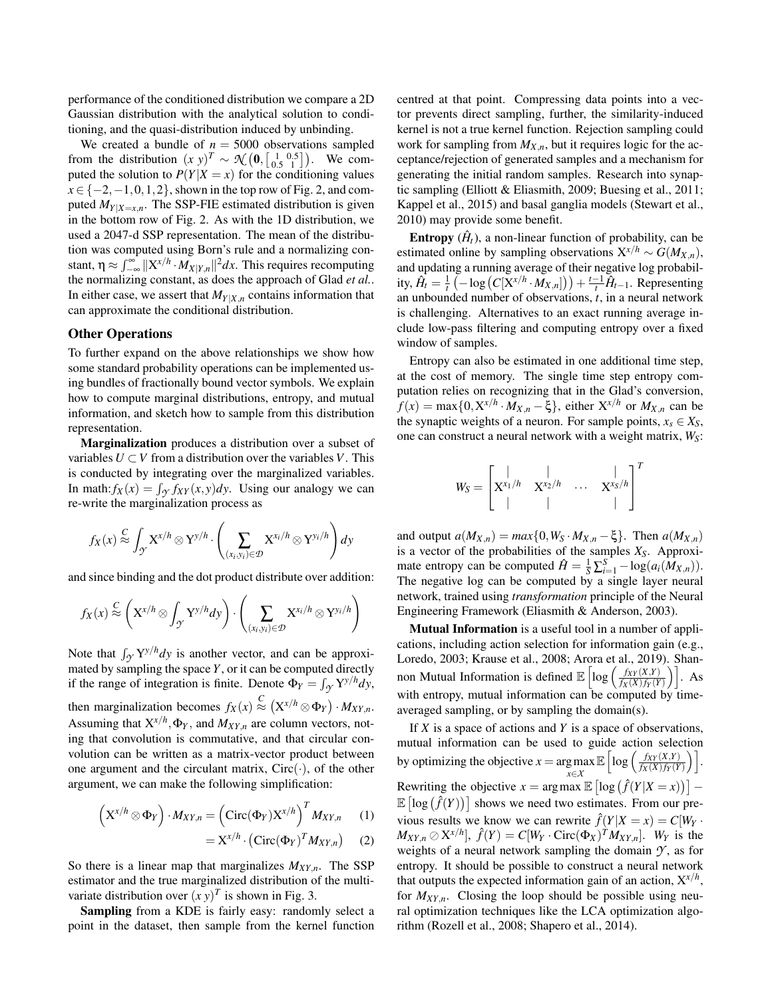performance of the conditioned distribution we compare a 2D Gaussian distribution with the analytical solution to conditioning, and the quasi-distribution induced by unbinding.

We created a bundle of  $n = 5000$  observations sampled from the distribution  $(x y)^T \sim \mathcal{N} \left( \mathbf{0}, \begin{bmatrix} 1 & 0.5 \\ 0.5 & 1 \end{bmatrix} \right)$ . We computed the solution to  $P(Y|X=x)$  for the conditioning values  $x \in \{-2, -1, 0, 1, 2\}$ , shown in the top row of Fig. 2, and computed  $M_{Y|X=x,n}$ . The SSP-FIE estimated distribution is given in the bottom row of Fig. 2. As with the 1D distribution, we used a 2047-d SSP representation. The mean of the distribution was computed using Born's rule and a normalizing constant,  $\eta \approx \int_{-\infty}^{\infty} ||X^{x/h} \cdot M_{X|Y,n}||^2 dx$ . This requires recomputing the normalizing constant, as does the approach of Glad *et al.*. In either case, we assert that  $M_{Y|X,n}$  contains information that can approximate the conditional distribution.

## Other Operations

To further expand on the above relationships we show how some standard probability operations can be implemented using bundles of fractionally bound vector symbols. We explain how to compute marginal distributions, entropy, and mutual information, and sketch how to sample from this distribution representation.

Marginalization produces a distribution over a subset of variables  $U \subset V$  from a distribution over the variables *V*. This is conducted by integrating over the marginalized variables. In math:  $f_X(x) = \int_{\mathcal{Y}} f_{XY}(x, y) dy$ . Using our analogy we can re-write the marginalization process as

$$
f_X(x) \stackrel{C}{\approx} \int_{\mathcal{Y}} X^{x/h} \otimes Y^{y/h} \cdot \left( \sum_{(x_i, y_i) \in \mathcal{D}} X^{x_i/h} \otimes Y^{y_i/h} \right) dy
$$

and since binding and the dot product distribute over addition:

$$
f_X(x) \stackrel{C}{\approx} \left( X^{x/h} \otimes \int_{\gamma} Y^{y/h} dy \right) \cdot \left( \sum_{(x_i, y_i) \in \mathcal{D}} X^{x_i/h} \otimes Y^{y_i/h} \right)
$$

Note that  $\int_{\mathcal{Y}} Y^{y/h} dy$  is another vector, and can be approximated by sampling the space *Y*, or it can be computed directly if the range of integration is finite. Denote  $\Phi_Y = \int_{\mathcal{Y}} Y^{y/h} dy$ , then marginalization becomes  $f_X(x) \stackrel{C}{\approx} (X^{x/h} \otimes \Phi_Y) \cdot M_{XY,n}$ . Assuming that  $X^{x/h}, \Phi_Y$ , and  $M_{XY,n}$  are column vectors, noting that convolution is commutative, and that circular convolution can be written as a matrix-vector product between one argument and the circulant matrix,  $Circ(\cdot)$ , of the other argument, we can make the following simplification:

$$
\left(\mathbf{X}^{x/h} \otimes \mathbf{\Phi}_{Y}\right) \cdot M_{XY,n} = \left(\operatorname{Circ}(\mathbf{\Phi}_{Y})\mathbf{X}^{x/h}\right)^{T} M_{XY,n} \qquad (1)
$$

$$
= X^{x/h} \cdot (\text{Circ}(\Phi_Y)^T M_{XY,n}) \qquad (2)
$$

So there is a linear map that marginalizes  $M_{XY,n}$ . The SSP estimator and the true marginalized distribution of the multivariate distribution over  $(x y)^T$  is shown in Fig. 3.

Sampling from a KDE is fairly easy: randomly select a point in the dataset, then sample from the kernel function centred at that point. Compressing data points into a vector prevents direct sampling, further, the similarity-induced kernel is not a true kernel function. Rejection sampling could work for sampling from  $M_{X,n}$ , but it requires logic for the acceptance/rejection of generated samples and a mechanism for generating the initial random samples. Research into synaptic sampling (Elliott & Eliasmith, 2009; Buesing et al., 2011; Kappel et al., 2015) and basal ganglia models (Stewart et al., 2010) may provide some benefit.

**Entropy**  $(\hat{H}_t)$ , a non-linear function of probability, can be estimated online by sampling observations  $X^{x/h} \sim G(M_{X,n}),$ and updating a running average of their negative log probabil- $\hat{H}_t = \frac{1}{t} \left( -\log \left( C[X^{x/h} \cdot M_{X,n}] \right) \right) + \frac{t-1}{t} \hat{H}_{t-1}$ . Representing an unbounded number of observations, *t*, in a neural network is challenging. Alternatives to an exact running average include low-pass filtering and computing entropy over a fixed window of samples.

Entropy can also be estimated in one additional time step, at the cost of memory. The single time step entropy computation relies on recognizing that in the Glad's conversion,  $f(x) = \max\{0, X^{x/h} \cdot M_{X,n} - \xi\}$ , either  $X^{x/h}$  or  $M_{X,n}$  can be the synaptic weights of a neuron. For sample points,  $x_s \in X_S$ , one can construct a neural network with a weight matrix, *WS*:

$$
W_S = \begin{bmatrix} | & | & | \\ \mathbf{X}^{x_1/h} & \mathbf{X}^{x_2/h} & \cdots & \mathbf{X}^{x_S/h} \\ | & | & | & | \end{bmatrix}^T
$$

and output  $a(M_{X,n}) = max\{0, W_S \cdot M_{X,n} - \xi\}$ . Then  $a(M_{X,n})$ is a vector of the probabilities of the samples *XS*. Approximate entropy can be computed  $\hat{H} = \frac{1}{S} \sum_{i=1}^{S} -\log(a_i(\hat{M}_{X,n}))$ . The negative log can be computed by a single layer neural network, trained using *transformation* principle of the Neural Engineering Framework (Eliasmith & Anderson, 2003).

Mutual Information is a useful tool in a number of applications, including action selection for information gain (e.g., Loredo, 2003; Krause et al., 2008; Arora et al., 2019). Shannon Mutual Information is defined  $\mathbb{E} \left[ \log \left( \frac{f_{XY}(X,Y)}{f_Y(X)f_Y(Y)} \right) \right]$  $\left[\frac{f_{XY}(X,Y)}{f_X(X)f_Y(Y)}\right]$ . As with entropy, mutual information can be computed by timeaveraged sampling, or by sampling the domain(s).

If *X* is a space of actions and *Y* is a space of observations, mutual information can be used to guide action selection by optimizing the objective  $x = \arg \max$ *x*∈*X*  $\mathbb{E} \left[ \log \left( \frac{f_{XY}(X,Y)}{f_{Y}(X) f_{Y}(Y)} \right) \right]$  $\frac{f_{XY}(X,Y)}{f_X(X)f_Y(Y)}\bigg)\bigg].$ Rewriting the objective  $x = \arg \max \mathbb{E} \left[ \log \left( \hat{f}(Y | X = x) \right) \right]$  –  $\mathbb{E} \left[ \log \left( \hat{f}(Y) \right) \right]$  shows we need two estimates. From our previous results we know we can rewrite  $\hat{f}(Y|X=x) = C[W_Y]$ .  $M_{XY,n} \oslash X^{x/h}$ ,  $\hat{f}(Y) = C[W_Y \cdot \text{Circ}(\Phi_X)^T M_{XY,n}$ . *W<sub>Y</sub>* is the weights of a neural network sampling the domain  $\mathcal{Y}$ , as for entropy. It should be possible to construct a neural network that outputs the expected information gain of an action, X*x*/*<sup>h</sup>* , for  $M_{XY,n}$ . Closing the loop should be possible using neural optimization techniques like the LCA optimization algorithm (Rozell et al., 2008; Shapero et al., 2014).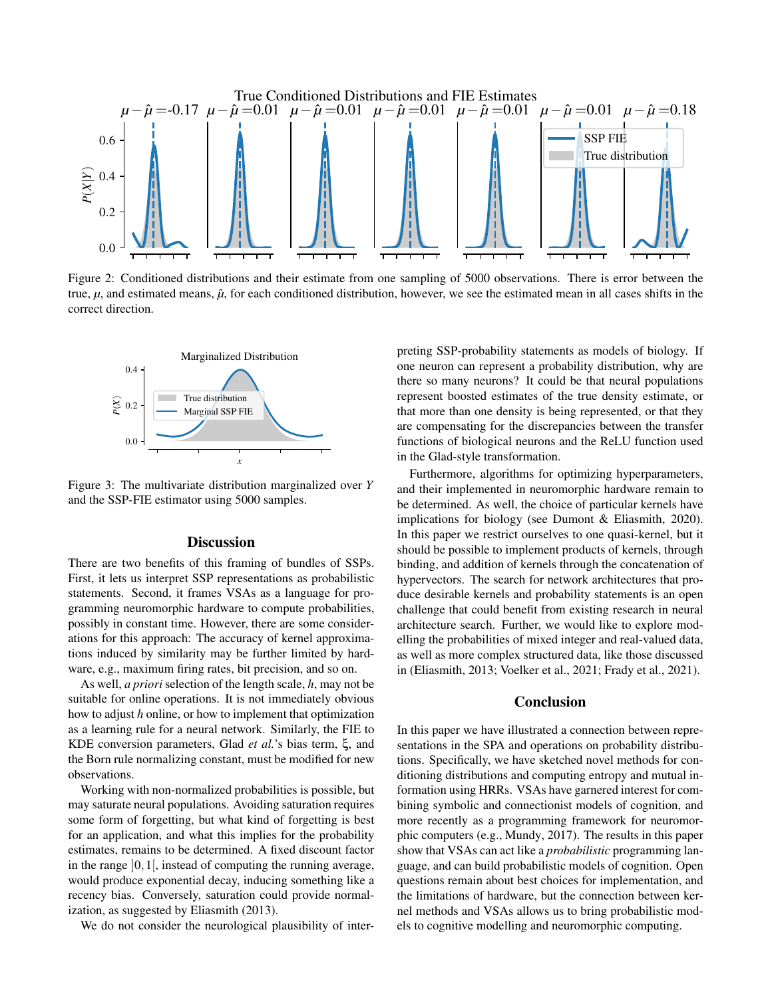

Figure 2: Conditioned distributions and their estimate from one sampling of 5000 observations. There is error between the true,  $\mu$ , and estimated means,  $\hat{\mu}$ , for each conditioned distribution, however, we see the estimated mean in all cases shifts in the correct direction.



Figure 3: The multivariate distribution marginalized over *Y* and the SSP-FIE estimator using 5000 samples.

## **Discussion**

There are two benefits of this framing of bundles of SSPs. First, it lets us interpret SSP representations as probabilistic statements. Second, it frames VSAs as a language for programming neuromorphic hardware to compute probabilities, possibly in constant time. However, there are some considerations for this approach: The accuracy of kernel approximations induced by similarity may be further limited by hardware, e.g., maximum firing rates, bit precision, and so on.

As well, *a priori* selection of the length scale, *h*, may not be suitable for online operations. It is not immediately obvious how to adjust *h* online, or how to implement that optimization as a learning rule for a neural network. Similarly, the FIE to KDE conversion parameters, Glad *et al.*'s bias term, ξ, and the Born rule normalizing constant, must be modified for new observations.

Working with non-normalized probabilities is possible, but may saturate neural populations. Avoiding saturation requires some form of forgetting, but what kind of forgetting is best for an application, and what this implies for the probability estimates, remains to be determined. A fixed discount factor in the range  $[0,1]$ , instead of computing the running average, would produce exponential decay, inducing something like a recency bias. Conversely, saturation could provide normalization, as suggested by Eliasmith (2013).

We do not consider the neurological plausibility of inter-

preting SSP-probability statements as models of biology. If one neuron can represent a probability distribution, why are there so many neurons? It could be that neural populations represent boosted estimates of the true density estimate, or that more than one density is being represented, or that they are compensating for the discrepancies between the transfer functions of biological neurons and the ReLU function used in the Glad-style transformation.

Furthermore, algorithms for optimizing hyperparameters, and their implemented in neuromorphic hardware remain to be determined. As well, the choice of particular kernels have implications for biology (see Dumont & Eliasmith, 2020). In this paper we restrict ourselves to one quasi-kernel, but it should be possible to implement products of kernels, through binding, and addition of kernels through the concatenation of hypervectors. The search for network architectures that produce desirable kernels and probability statements is an open challenge that could benefit from existing research in neural architecture search. Further, we would like to explore modelling the probabilities of mixed integer and real-valued data, as well as more complex structured data, like those discussed in (Eliasmith, 2013; Voelker et al., 2021; Frady et al., 2021).

## Conclusion

In this paper we have illustrated a connection between representations in the SPA and operations on probability distributions. Specifically, we have sketched novel methods for conditioning distributions and computing entropy and mutual information using HRRs. VSAs have garnered interest for combining symbolic and connectionist models of cognition, and more recently as a programming framework for neuromorphic computers (e.g., Mundy, 2017). The results in this paper show that VSAs can act like a *probabilistic* programming language, and can build probabilistic models of cognition. Open questions remain about best choices for implementation, and the limitations of hardware, but the connection between kernel methods and VSAs allows us to bring probabilistic models to cognitive modelling and neuromorphic computing.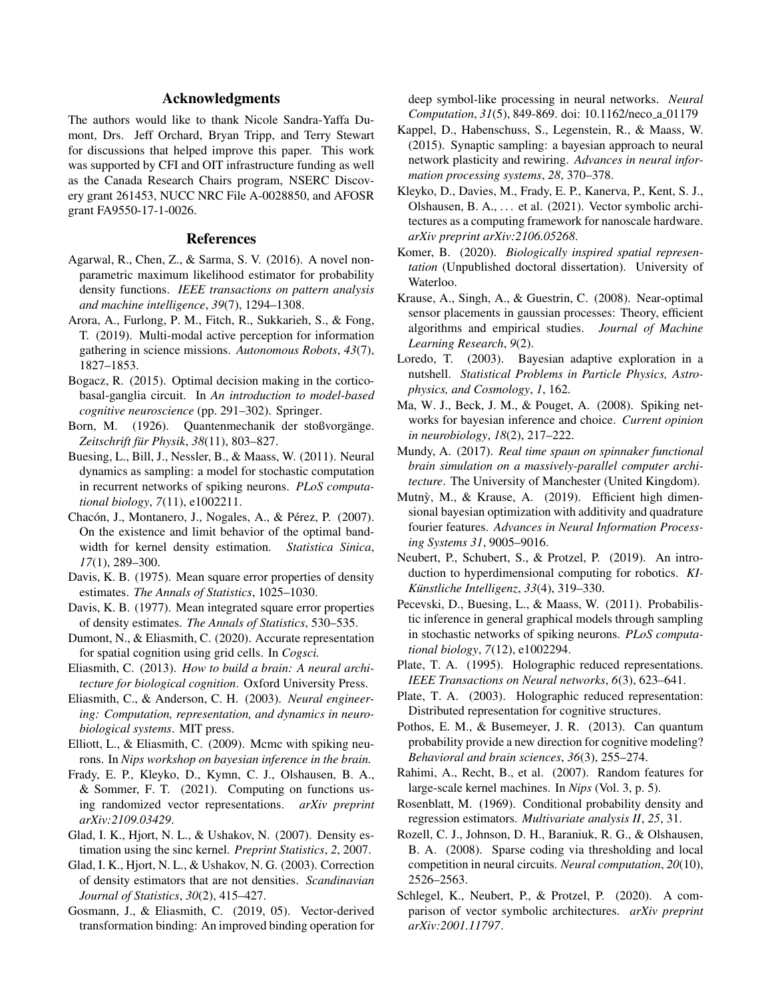## Acknowledgments

The authors would like to thank Nicole Sandra-Yaffa Dumont, Drs. Jeff Orchard, Bryan Tripp, and Terry Stewart for discussions that helped improve this paper. This work was supported by CFI and OIT infrastructure funding as well as the Canada Research Chairs program, NSERC Discovery grant 261453, NUCC NRC File A-0028850, and AFOSR grant FA9550-17-1-0026.

#### References

- Agarwal, R., Chen, Z., & Sarma, S. V. (2016). A novel nonparametric maximum likelihood estimator for probability density functions. *IEEE transactions on pattern analysis and machine intelligence*, *39*(7), 1294–1308.
- Arora, A., Furlong, P. M., Fitch, R., Sukkarieh, S., & Fong, T. (2019). Multi-modal active perception for information gathering in science missions. *Autonomous Robots*, *43*(7), 1827–1853.
- Bogacz, R. (2015). Optimal decision making in the corticobasal-ganglia circuit. In *An introduction to model-based cognitive neuroscience* (pp. 291–302). Springer.
- Born, M. (1926). Quantenmechanik der stoßvorgänge. *Zeitschrift fur Physik ¨* , *38*(11), 803–827.
- Buesing, L., Bill, J., Nessler, B., & Maass, W. (2011). Neural dynamics as sampling: a model for stochastic computation in recurrent networks of spiking neurons. *PLoS computational biology*, *7*(11), e1002211.
- Chacón, J., Montanero, J., Nogales, A., & Pérez, P. (2007). On the existence and limit behavior of the optimal bandwidth for kernel density estimation. *Statistica Sinica*, *17*(1), 289–300.
- Davis, K. B. (1975). Mean square error properties of density estimates. *The Annals of Statistics*, 1025–1030.
- Davis, K. B. (1977). Mean integrated square error properties of density estimates. *The Annals of Statistics*, 530–535.
- Dumont, N., & Eliasmith, C. (2020). Accurate representation for spatial cognition using grid cells. In *Cogsci.*
- Eliasmith, C. (2013). *How to build a brain: A neural architecture for biological cognition*. Oxford University Press.
- Eliasmith, C., & Anderson, C. H. (2003). *Neural engineering: Computation, representation, and dynamics in neurobiological systems*. MIT press.
- Elliott, L., & Eliasmith, C. (2009). Mcmc with spiking neurons. In *Nips workshop on bayesian inference in the brain.*
- Frady, E. P., Kleyko, D., Kymn, C. J., Olshausen, B. A., & Sommer, F. T. (2021). Computing on functions using randomized vector representations. *arXiv preprint arXiv:2109.03429*.
- Glad, I. K., Hjort, N. L., & Ushakov, N. (2007). Density estimation using the sinc kernel. *Preprint Statistics*, *2*, 2007.
- Glad, I. K., Hjort, N. L., & Ushakov, N. G. (2003). Correction of density estimators that are not densities. *Scandinavian Journal of Statistics*, *30*(2), 415–427.
- Gosmann, J., & Eliasmith, C. (2019, 05). Vector-derived transformation binding: An improved binding operation for

deep symbol-like processing in neural networks. *Neural Computation*, *31*(5), 849-869. doi: 10.1162/neco a 01179

- Kappel, D., Habenschuss, S., Legenstein, R., & Maass, W. (2015). Synaptic sampling: a bayesian approach to neural network plasticity and rewiring. *Advances in neural information processing systems*, *28*, 370–378.
- Kleyko, D., Davies, M., Frady, E. P., Kanerva, P., Kent, S. J., Olshausen, B. A., ... et al. (2021). Vector symbolic architectures as a computing framework for nanoscale hardware. *arXiv preprint arXiv:2106.05268*.
- Komer, B. (2020). *Biologically inspired spatial representation* (Unpublished doctoral dissertation). University of Waterloo.
- Krause, A., Singh, A., & Guestrin, C. (2008). Near-optimal sensor placements in gaussian processes: Theory, efficient algorithms and empirical studies. *Journal of Machine Learning Research*, *9*(2).
- Loredo, T. (2003). Bayesian adaptive exploration in a nutshell. *Statistical Problems in Particle Physics, Astrophysics, and Cosmology*, *1*, 162.
- Ma, W. J., Beck, J. M., & Pouget, A. (2008). Spiking networks for bayesian inference and choice. *Current opinion in neurobiology*, *18*(2), 217–222.
- Mundy, A. (2017). *Real time spaun on spinnaker functional brain simulation on a massively-parallel computer architecture*. The University of Manchester (United Kingdom).
- Mutnỳ, M., & Krause, A. (2019). Efficient high dimensional bayesian optimization with additivity and quadrature fourier features. *Advances in Neural Information Processing Systems 31*, 9005–9016.
- Neubert, P., Schubert, S., & Protzel, P. (2019). An introduction to hyperdimensional computing for robotics. *KI-Kunstliche Intelligenz ¨* , *33*(4), 319–330.
- Pecevski, D., Buesing, L., & Maass, W. (2011). Probabilistic inference in general graphical models through sampling in stochastic networks of spiking neurons. *PLoS computational biology*, *7*(12), e1002294.
- Plate, T. A. (1995). Holographic reduced representations. *IEEE Transactions on Neural networks*, *6*(3), 623–641.
- Plate, T. A. (2003). Holographic reduced representation: Distributed representation for cognitive structures.
- Pothos, E. M., & Busemeyer, J. R. (2013). Can quantum probability provide a new direction for cognitive modeling? *Behavioral and brain sciences*, *36*(3), 255–274.
- Rahimi, A., Recht, B., et al. (2007). Random features for large-scale kernel machines. In *Nips* (Vol. 3, p. 5).
- Rosenblatt, M. (1969). Conditional probability density and regression estimators. *Multivariate analysis II*, *25*, 31.
- Rozell, C. J., Johnson, D. H., Baraniuk, R. G., & Olshausen, B. A. (2008). Sparse coding via thresholding and local competition in neural circuits. *Neural computation*, *20*(10), 2526–2563.
- Schlegel, K., Neubert, P., & Protzel, P. (2020). A comparison of vector symbolic architectures. *arXiv preprint arXiv:2001.11797*.